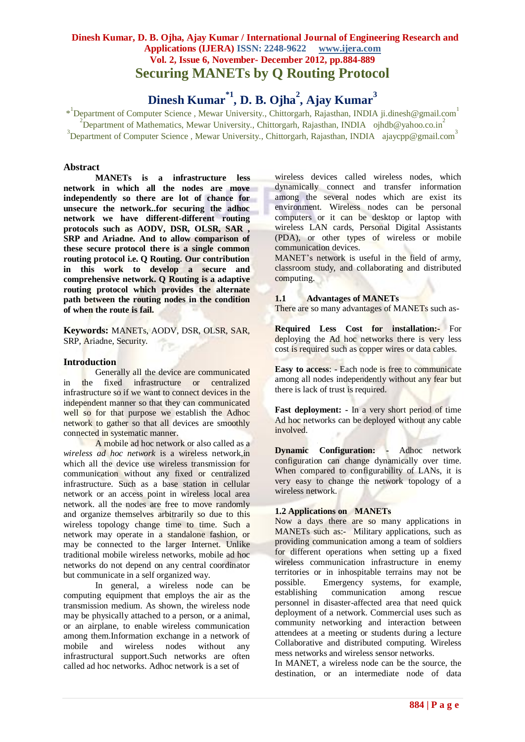# **Dinesh Kumar\*1, D. B. Ojha<sup>2</sup> , Ajay Kumar<sup>3</sup>**

\*<sup>1</sup>Department of Computer Science, Mewar University., Chittorgarh, Rajasthan, INDIA ji.dinesh@gmail.com<sup>1</sup>  $2^{2}$ Department of Mathematics, Mewar University., Chittorgarh, Rajasthan, INDIA ojhdb@yahoo.co.in<sup>2</sup> <sup>3</sup>Department of Computer Science, Mewar University., Chittorgarh, Rajasthan, INDIA ajaycpp@gmail.com<sup>3</sup>

## **Abstract**

**MANETs is a infrastructure less network in which all the nodes are move independently so there are lot of chance for unsecure the network..for securing the adhoc network we have different-different routing protocols such as AODV, DSR, OLSR, SAR , SRP and Ariadne. And to allow comparison of these secure protocol there is a single common routing protocol i.e. Q Routing. Our contribution in this work to develop a secure and comprehensive network. Q Routing is a adaptive routing protocol which provides the alternate path between the routing nodes in the condition of when the route is fail.** 

**Keywords:** MANETs, AODV, DSR, OLSR, SAR, SRP, Ariadne, Security.

## **Introduction**

Generally all the device are communicated in the fixed infrastructure or centralized infrastructure so if we want to connect devices in the independent manner so that they can communicated well so for that purpose we establish the Adhoc network to gather so that all devices are smoothly connected in systematic manner.

A mobile ad hoc network or also called as a *wireless ad hoc network* is a wireless network,in which all the device use wireless transmission for communication without any fixed or centralized infrastructure. Such as a base station in cellular network or an access point in wireless local area network. all the nodes are free to move randomly and organize themselves arbitrarily so due to this wireless topology change time to time. Such a network may operate in a standalone fashion, or may be connected to the larger Internet. Unlike traditional mobile wireless networks, mobile ad hoc networks do not depend on any central coordinator but communicate in a self organized way.

In general, a wireless node can be computing equipment that employs the air as the transmission medium. As shown, the wireless node may be physically attached to a person, or a animal, or an airplane, to enable wireless communication among them.Information exchange in a network of mobile and wireless nodes without any infrastructural support.Such networks are often called ad hoc networks. Adhoc network is a set of

wireless devices called wireless nodes, which dynamically connect and transfer information among the several nodes which are exist its environment. Wireless nodes can be personal computers or it can be desktop or laptop with wireless LAN cards, Personal Digital Assistants (PDA), or other types of wireless or mobile communication devices.

MANET's network is useful in the field of army, classroom study, and collaborating and distributed computing.

## **1.1 Advantages of MANETs**

There are so many advantages of MANETs such as-

**Required Less Cost for installation:-** For deploying the Ad hoc networks there is very less cost is required such as copper wires or data cables.

**Easy to access**: - Each node is free to communicate among all nodes independently without any fear but there is lack of trust is required.

**Fast deployment: -** In a very short period of time Ad hoc networks can be deployed without any cable involved.

**Dynamic Configuration: -** Adhoc network configuration can change dynamically over time. When compared to configurability of LANs, it is very easy to change the network topology of a wireless network.

#### **1.2 Applications on MANETs**

Now a days there are so many applications in MANETs such as:- Military applications, such as providing communication among a team of soldiers for different operations when setting up a fixed wireless communication infrastructure in enemy territories or in inhospitable terrains may not be possible. Emergency systems, for example, establishing communication among rescue personnel in disaster-affected area that need quick deployment of a network. Commercial uses such as community networking and interaction between attendees at a meeting or students during a lecture Collaborative and distributed computing. Wireless mess networks and wireless sensor networks.

In MANET, a wireless node can be the source, the destination, or an intermediate node of data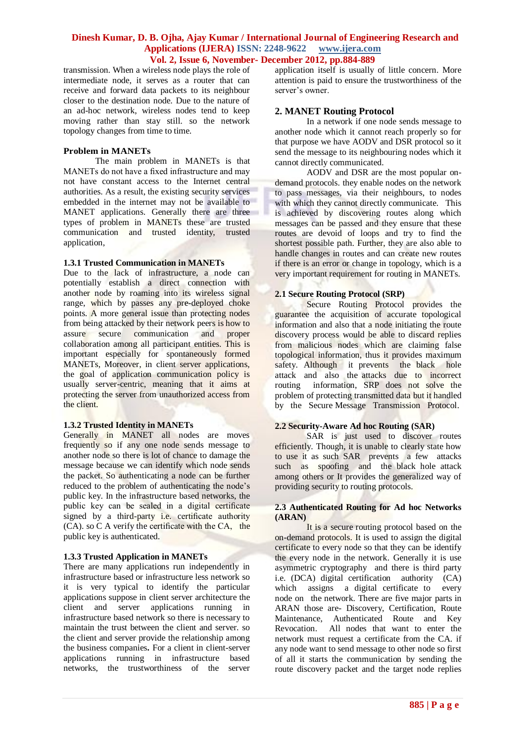transmission. When a wireless node plays the role of intermediate node, it serves as a router that can receive and forward data packets to its neighbour closer to the destination node. Due to the nature of an ad-hoc network, wireless nodes tend to keep moving rather than stay still. so the network topology changes from time to time.

#### **Problem in MANETs**

The main problem in MANETs is that MANETs do not have a fixed infrastructure and may not have constant access to the Internet central authorities. As a result, the existing security services embedded in the internet may not be available to MANET applications. Generally there are three types of problem in MANETs these are trusted communication and trusted identity, trusted application,

#### **1.3.1 Trusted Communication in MANETs**

Due to the lack of infrastructure, a node can potentially establish a direct connection with another node by roaming into its wireless signal range, which by passes any pre-deployed choke points. A more general issue than protecting nodes from being attacked by their network peers is how to assure secure communication and proper collaboration among all participant entities. This is important especially for spontaneously formed MANETs, Moreover, in client server applications, the goal of application communication policy is usually server-centric, meaning that it aims at protecting the server from unauthorized access from the client.

#### **1.3.2 Trusted Identity in MANETs**

Generally in MANET all nodes are moves frequently so if any one node sends message to another node so there is lot of chance to damage the message because we can identify which node sends the packet. So authenticating a node can be further reduced to the problem of authenticating the node's public key. In the infrastructure based networks, the public key can be sealed in a digital certificate signed by a third-party i.e. certificate authority (CA). so C A verify the certificate with the CA, the public key is authenticated.

#### **1.3.3 Trusted Application in MANETs**

There are many applications run independently in infrastructure based or infrastructure less network so it is very typical to identify the particular applications suppose in client server architecture the client and server applications running in infrastructure based network so there is necessary to maintain the trust between the client and server. so the client and server provide the relationship among the business companies**.** For a client in client-server applications running in infrastructure based networks, the trustworthiness of the server

application itself is usually of little concern. More attention is paid to ensure the trustworthiness of the server's owner.

## **2. MANET Routing Protocol**

In a network if one node sends message to another node which it cannot reach properly so for that purpose we have AODV and DSR protocol so it send the message to its neighbouring nodes which it cannot directly communicated.

AODV and DSR are the most popular ondemand protocols. they enable nodes on the network to pass messages, via their neighbours, to nodes with which they cannot directly communicate. This is achieved by discovering routes along which messages can be passed and they ensure that these routes are devoid of loops and try to find the shortest possible path. Further, they are also able to handle changes in routes and can create new routes if there is an error or change in topology, which is a very important requirement for routing in MANETs.

## **2.1 Secure Routing Protocol (SRP)**

Secure Routing Protocol provides the guarantee the acquisition of accurate topological information and also that a node initiating the route discovery process would be able to discard replies from malicious nodes which are claiming false topological information, thus it provides maximum safety. Although it prevents the black hole attack and also the attacks due to incorrect routing information, SRP does not solve the problem of protecting transmitted data but it handled by the Secure Message Transmission Protocol.

#### **2.2 Security-Aware Ad hoc Routing (SAR)**

SAR is just used to discover routes efficiently. Though, it is unable to clearly state how to use it as such SAR prevents a few attacks such as spoofing and the black hole attack among others or It provides the generalized way of providing security to routing protocols.

#### **2.3 Authenticated Routing for Ad hoc Networks (ARAN)**

It is a secure routing protocol based on the on-demand protocols. It is used to assign the digital certificate to every node so that they can be identify the every node in the network. Generally it is use asymmetric cryptography and there is third party i.e. (DCA) digital certification authority (CA) which assigns a digital certificate to every node on the network. There are five major parts in ARAN those are- Discovery, Certification, Route Maintenance, Authenticated Route and Key Revocation. All nodes that want to enter the network must request a certificate from the CA. if any node want to send message to other node so first of all it starts the communication by sending the route discovery packet and the target node replies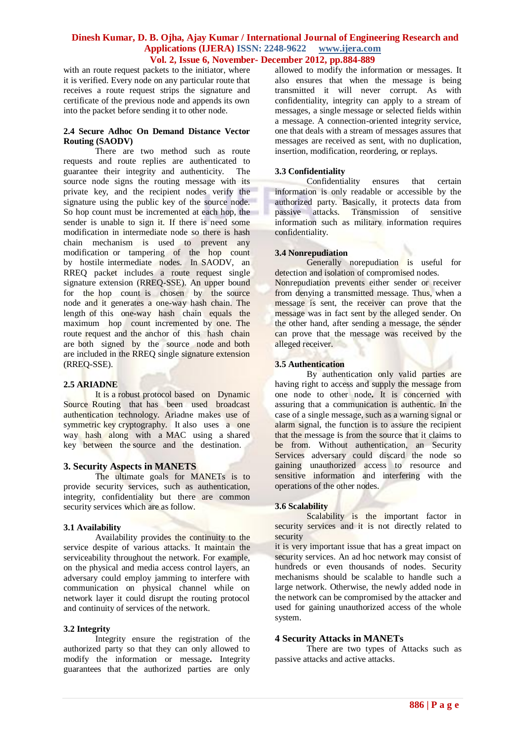with an route request packets to the initiator, where it is verified. Every node on any particular route that receives a route request strips the signature and certificate of the previous node and appends its own into the packet before sending it to other node.

#### **2.4 Secure Adhoc On Demand Distance Vector Routing (SAODV)**

There are two method such as route requests and route replies are authenticated to guarantee their integrity and authenticity. The source node signs the routing message with its private key, and the recipient nodes verify the signature using the public key of the source node. So hop count must be incremented at each hop, the sender is unable to sign it. If there is need some modification in intermediate node so there is hash chain mechanism is used to prevent any modification or tampering of the hop count by hostile intermediate nodes. In SAODV, an RREQ packet includes a route request single signature extension (RREQ-SSE). An upper bound for the hop count is chosen by the source node and it generates a one-way hash chain. The length of this one-way hash chain equals the maximum hop count incremented by one. The route request and the anchor of this hash chain are both signed by the source node and both are included in the RREQ single signature extension (RREQ-SSE).

#### **2.5 ARIADNE**

It is a robust protocol based on Dynamic Source Routing that has been used broadcast authentication technology. Ariadne makes use of symmetric key cryptography. It also uses a one way hash along with a MAC using a shared key between the source and the destination.

#### **3. Security Aspects in MANETS**

The ultimate goals for MANETs is to provide security services, such as authentication, integrity, confidentiality but there are common security services which are as follow.

#### **3.1 Availability**

Availability provides the continuity to the service despite of various attacks. It maintain the serviceability throughout the network. For example, on the physical and media access control layers, an adversary could employ jamming to interfere with communication on physical channel while on network layer it could disrupt the routing protocol and continuity of services of the network.

#### **3.2 Integrity**

Integrity ensure the registration of the authorized party so that they can only allowed to modify the information or message**.** Integrity guarantees that the authorized parties are only

allowed to modify the information or messages. It also ensures that when the message is being transmitted it will never corrupt. As with confidentiality, integrity can apply to a stream of messages, a single message or selected fields within a message. A connection-oriented integrity service, one that deals with a stream of messages assures that messages are received as sent, with no duplication, insertion, modification, reordering, or replays.

#### **3.3 Confidentiality**

Confidentiality ensures that certain information is only readable or accessible by the authorized party. Basically, it protects data from passive attacks. Transmission of sensitive information such as military information requires confidentiality.

#### **3.4 Nonrepudiation**

Generally norepudiation is useful for detection and isolation of compromised nodes. Nonrepudiation prevents either sender or receiver from denying a transmitted message. Thus, when a message is sent, the receiver can prove that the message was in fact sent by the alleged sender. On the other hand, after sending a message, the sender can prove that the message was received by the alleged receiver.

### **3.5 Authentication**

By authentication only valid parties are having right to access and supply the message from one node to other node**.** It is concerned with assuring that a communication is authentic. In the case of a single message, such as a warning signal or alarm signal, the function is to assure the recipient that the message is from the source that it claims to be from. Without authentication, an Security Services adversary could discard the node so gaining unauthorized access to resource and sensitive information and interfering with the operations of the other nodes.

#### **3.6 Scalability**

Scalability is the important factor in security services and it is not directly related to security

it is very important issue that has a great impact on security services. An ad hoc network may consist of hundreds or even thousands of nodes. Security mechanisms should be scalable to handle such a large network. Otherwise, the newly added node in the network can be compromised by the attacker and used for gaining unauthorized access of the whole system.

#### **4 Security Attacks in MANETs**

There are two types of Attacks such as passive attacks and active attacks.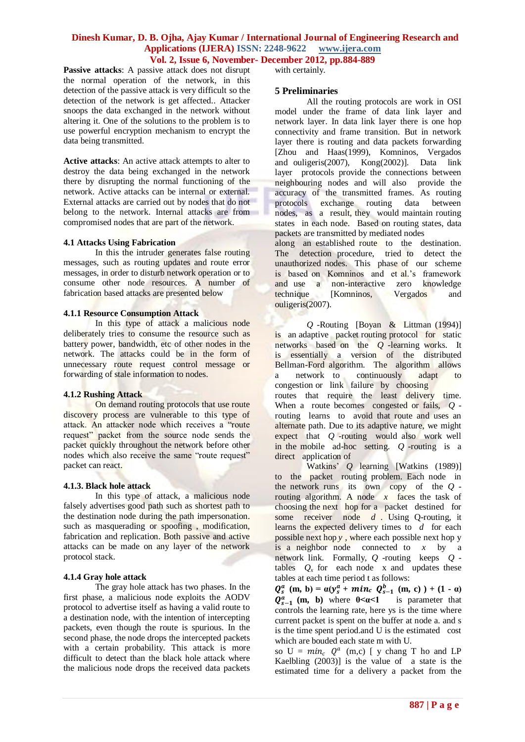**Passive attacks:** A passive attack does not disrupt the normal operation of the network, in this detection of the passive attack is very difficult so the detection of the network is get affected.. Attacker snoops the data exchanged in the network without altering it. One of the solutions to the problem is to use powerful encryption mechanism to encrypt the data being transmitted.

**Active attacks**: An active attack attempts to alter to destroy the data being exchanged in the network there by disrupting the normal functioning of the network. Active attacks can be internal or external. External attacks are carried out by nodes that do not belong to the network. Internal attacks are from compromised nodes that are part of the network.

#### **4.1 Attacks Using Fabrication**

In this the intruder generates false routing messages, such as routing updates and route error messages, in order to disturb network operation or to consume other node resources. A number of fabrication based attacks are presented below

#### **4.1.1 Resource Consumption Attack**

In this type of attack a malicious node deliberately tries to consume the resource such as battery power, bandwidth, etc of other nodes in the network. The attacks could be in the form of unnecessary route request control message or forwarding of stale information to nodes.

#### **4.1.2 Rushing Attack**

On demand routing protocols that use route discovery process are vulnerable to this type of attack. An attacker node which receives a "route request" packet from the source node sends the packet quickly throughout the network before other nodes which also receive the same "route request" packet can react.

#### **4.1.3. Black hole attack**

In this type of attack, a malicious node falsely advertises good path such as shortest path to the destination node during the path impersonation. such as masquerading or spoofing , modification, fabrication and replication. Both passive and active attacks can be made on any layer of the network protocol stack.

#### **4.1.4 Gray hole attack**

The gray hole attack has two phases. In the first phase, a malicious node exploits the AODV protocol to advertise itself as having a valid route to a destination node, with the intention of intercepting packets, even though the route is spurious. In the second phase, the node drops the intercepted packets with a certain probability. This attack is more difficult to detect than the black hole attack where the malicious node drops the received data packets with certainly.

#### **5 Preliminaries**

All the routing protocols are work in OSI model under the frame of data link layer and network layer. In data link layer there is one hop connectivity and frame transition. But in network layer there is routing and data packets forwarding [Zhou and Haas(1999), Komninos, Vergados and ouligeris(2007), Kong(2002)]. Data link layer protocols provide the connections between neighbouring nodes and will also provide the accuracy of the transmitted frames. As routing protocols exchange routing data between nodes, as a result, they would maintain routing states in each node. Based on routing states, data packets are transmitted by mediated nodes

along an established route to the destination. The detection procedure, tried to detect the unauthorized nodes. This phase of our scheme is based on Komninos and et al.'s framework and use a non-interactive zero knowledge technique [Komninos, Vergados and ouligeris(2007).

*Q* -Routing [Boyan & Littman (1994)] is an adaptive packet routing protocol for static networks based on the *Q* -learning works. It is essentially a version of the distributed Bellman-Ford algorithm. The algorithm allows a network to continuously adapt to congestion or link failure by choosing routes that require the least delivery time. When a route becomes congested or fails, *Q* routing learns to avoid that route and uses an alternate path. Due to its adaptive nature, we might expect that *Q* -routing would also work well in the mobile ad-hoc setting. *Q* -routing is a direct application of

Watkins' *Q* learning [Watkins (1989)] to the packet routing problem. Each node in the network runs its own copy of the *Q* routing algorithm. A node *x* faces the task of choosing the next hop for a packet destined for some receiver node *d* . Using Q-routing, it learns the expected delivery times to *d* for each possible next hop *y* , where each possible next hop y is a neighbor node connected to *x* by a network link. Formally, *Q* -routing keeps *Q* tables  $Q_x$  for each node x and updates these tables at each time period t as follows:

 $Q_s^a$  (m, b) =  $\alpha(y_s^a + \textit{min}_c \ Q_{s-1}^b \ (m, c) ) + (1 - \alpha)$  $Q_{s-1}^{\alpha}$  (**m**, **b**) where  $0 \le \alpha \le 1$  is parameter that controls the learning rate, here ys is the time where current packet is spent on the buffer at node a. and s is the time spent period.and U is the estimated cost which are bouded each state m with U.

so  $U = min_c Q^a$  (m,c) [ y chang T ho and LP Kaelbling  $(2003)$ ] is the value of a state is the estimated time for a delivery a packet from the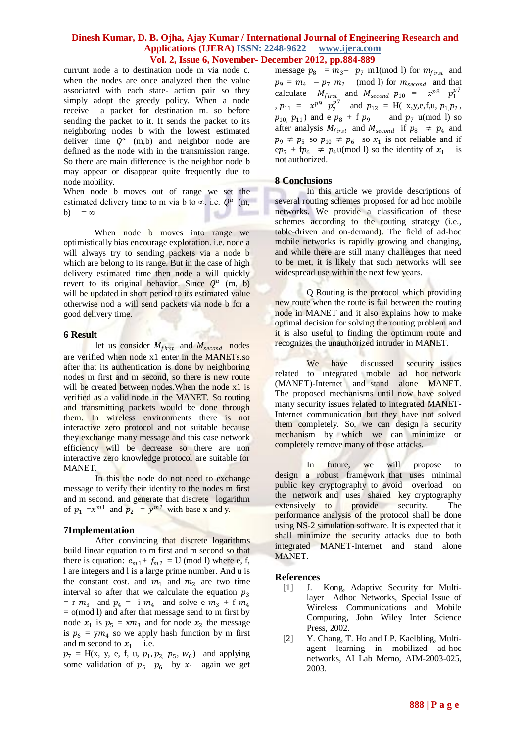currunt node a to destination node m via node c. when the nodes are once analyzed then the value associated with each state- action pair so they simply adopt the greedy policy. When a node receive a packet for destination m. so before sending the packet to it. It sends the packet to its neighboring nodes b with the lowest estimated deliver time  $Q^a$  (m,b) and neighbor node are defined as the node with in the transmission range. So there are main difference is the neighbor node b may appear or disappear quite frequently due to node mobility.

When node b moves out of range we set the estimated delivery time to m via b to  $\infty$ . i.e.  $Q^a$  (m, b) =  $\infty$ 

When node **b** moves into range we optimistically bias encourage exploration. i.e. node a will always try to sending packets via a node b which are belong to its range. But in the case of high delivery estimated time then node a will quickly revert to its original behavior. Since  $Q^a$  (m, b) will be updated in short period to its estimated value otherwise nod a will send packets via node b for a good delivery time.

#### **6 Result**

let us consider  $M_{first}$  and  $M_{second}$  nodes are verified when node x1 enter in the MANETs.so after that its authentication is done by neighboring nodes m first and m second, so there is new route will be created between nodes. When the node x1 is verified as a valid node in the MANET. So routing and transmitting packets would be done through them. In wireless environments there is not interactive zero protocol and not suitable because they exchange many message and this case network efficiency will be decrease so there are non interactive zero knowledge protocol are suitable for MANET.

In this the node do not need to exchange message to verify their identity to the nodes m first and m second. and generate that discrete logarithm of  $p_1 = x^{m_1}$  and  $p_2 = y^{m_2}$  with base x and y.

## **7Implementation**

After convincing that discrete logarithms build linear equation to m first and m second so that there is equation:  $e_{m1} + f_{m2} = U \pmod{1}$  where e, f, l are integers and l is a large prime number. And u is the constant cost. and  $m_1$  and  $m_2$  are two time interval so after that we calculate the equation  $p_3$  $=$  r  $m_3$  and  $p_4 =$  i  $m_4$  and solve e  $m_3$  + f  $m_4$  $=$  o(mod l) and after that message send to m first by node  $x_1$  is  $p_5 = xm_3$  and for node  $x_2$  the message is  $p_6 = ym_4$  so we apply hash function by m first and m second to  $x_1$  i.e.

 $p_7 = H(x, y, e, f, u, p_1, p_2, p_5, w_6)$  and applying some validation of  $p_5$   $p_6$  by  $x_1$  again we get

message  $p_8 = m_3 - p_7$  m1(mod l) for  $m_{first}$  and  $p_9 = m_4 - p_7 m_2 \pmod{1}$  for  $m_{second}$  and that calculate  $M_{first}$  and  $M_{second}$   $p_{10}$  =  $x^{p8}$   $p_1^{p7}$ ,  $p_{11} = x^{p9} p_2^{p7}$  and  $p_{12} = H(x,y,e,f,u, p_1,p_2)$ ,  $p_{10}$ ,  $p_{11}$ ) and e  $p_8$  + f  $p_9$  and  $p_7$  u(mod l) so after analysis  $M_{first}$  and  $M_{second}$  if  $p_8 \neq p_4$  and  $p_9 \neq p_5$  so  $p_{10} \neq p_6$  so  $x_1$  is not reliable and if  $ep_5 + fp_6 \neq p_4 \mu \pmod{1}$  so the identity of  $x_1$  is not authorized.

## **8 Conclusions**

In this article we provide descriptions of several routing schemes proposed for ad hoc mobile networks. We provide a classification of these schemes according to the routing strategy (i.e., table-driven and on-demand). The field of ad-hoc mobile networks is rapidly growing and changing, and while there are still many challenges that need to be met, it is likely that such networks will see widespread use within the next few years.

Q Routing is the protocol which providing new route when the route is fail between the routing node in MANET and it also explains how to make optimal decision for solving the routing problem and it is also useful to finding the optimum route and recognizes the unauthorized intruder in MANET.

We have discussed security issues related to integrated mobile ad hoc network (MANET)-Internet and stand alone MANET. The proposed mechanisms until now have solved many security issues related to integrated MANET-Internet communication but they have not solved them completely. So, we can design a security mechanism by which we can minimize or completely remove many of those attacks.

In future, we will propose to design a robust framework that uses minimal public key cryptography to avoid overload on the network and uses shared key cryptography extensively to provide security. The performance analysis of the protocol shall be done using NS-2 simulation software. It is expected that it shall minimize the security attacks due to both integrated MANET-Internet and stand alone MANET.

## **References**

- [1] J. Kong, Adaptive Security for Multilayer Adhoc Networks, Special Issue of Wireless Communications and Mobile Computing, John Wiley Inter Science Press, 2002.
- [2] Y. Chang, T. Ho and LP. Kaelbling, Multiagent learning in mobilized ad-hoc networks, AI Lab Memo, AIM-2003-025, 2003.